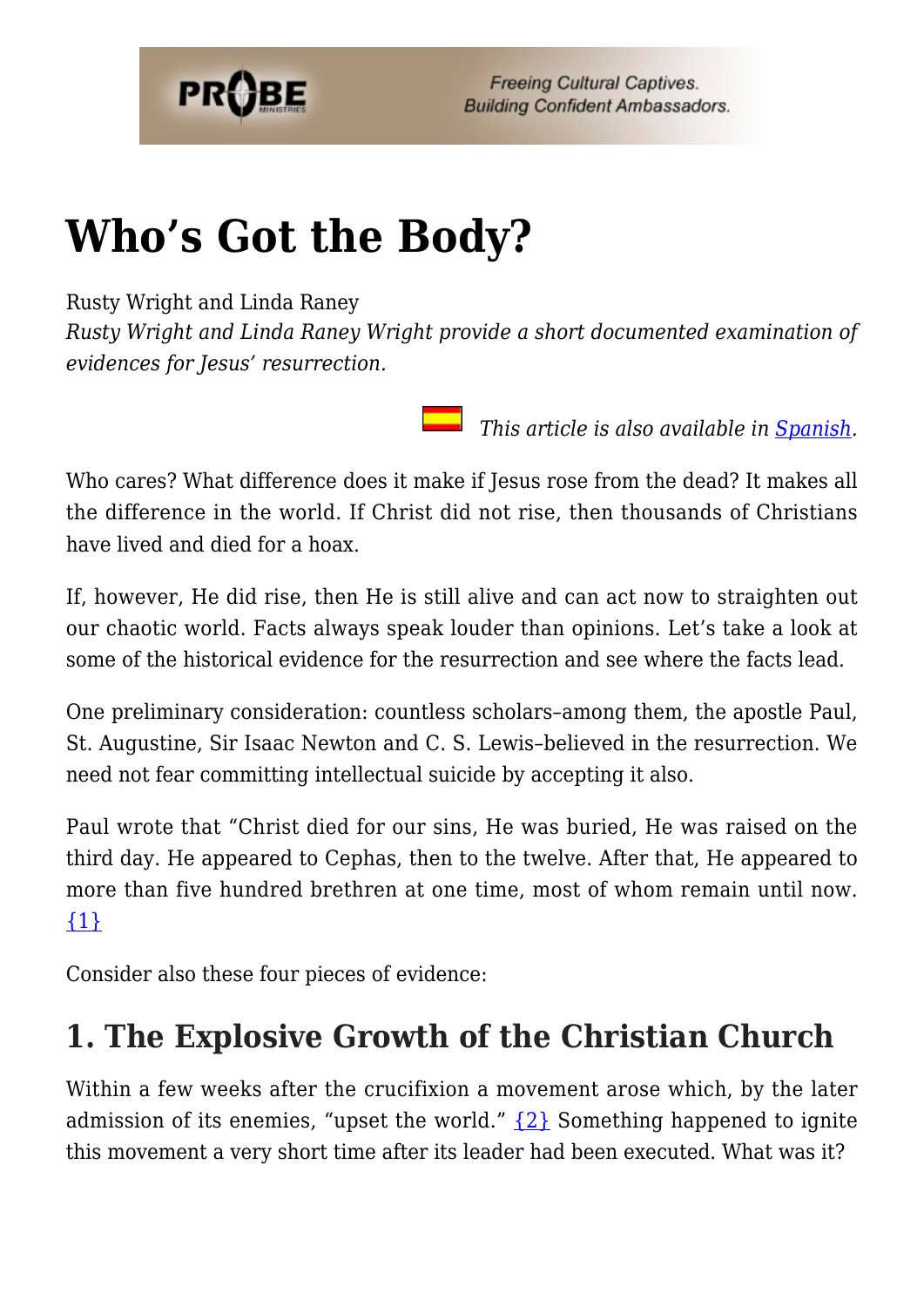

# **[Who's Got the Body?](https://probe.org/whos-got-the-body/)**

Rusty Wright and Linda Raney

*Rusty Wright and Linda Raney Wright provide a short documented examination of evidences for Jesus' resurrection.*

 *This article is also available in [Spanish.](http://www.ministeriosprobe.org/docs/cuerpo.html)*

Who cares? What difference does it make if Jesus rose from the dead? It makes all the difference in the world. If Christ did not rise, then thousands of Christians have lived and died for a hoax.

If, however, He did rise, then He is still alive and can act now to straighten out our chaotic world. Facts always speak louder than opinions. Let's take a look at some of the historical evidence for the resurrection and see where the facts lead.

One preliminary consideration: countless scholars–among them, the apostle Paul, St. Augustine, Sir Isaac Newton and C. S. Lewis–believed in the resurrection. We need not fear committing intellectual suicide by accepting it also.

Paul wrote that "Christ died for our sins, He was buried, He was raised on the third day. He appeared to Cephas, then to the twelve. After that, He appeared to more than five hundred brethren at one time, most of whom remain until now. [{1}](#page-3-0)

Consider also these four pieces of evidence:

## **1. The Explosive Growth of the Christian Church**

Within a few weeks after the crucifixion a movement arose which, by the later admission of its enemies, "upset the world."  $\{2\}$  Something happened to ignite this movement a very short time after its leader had been executed. What was it?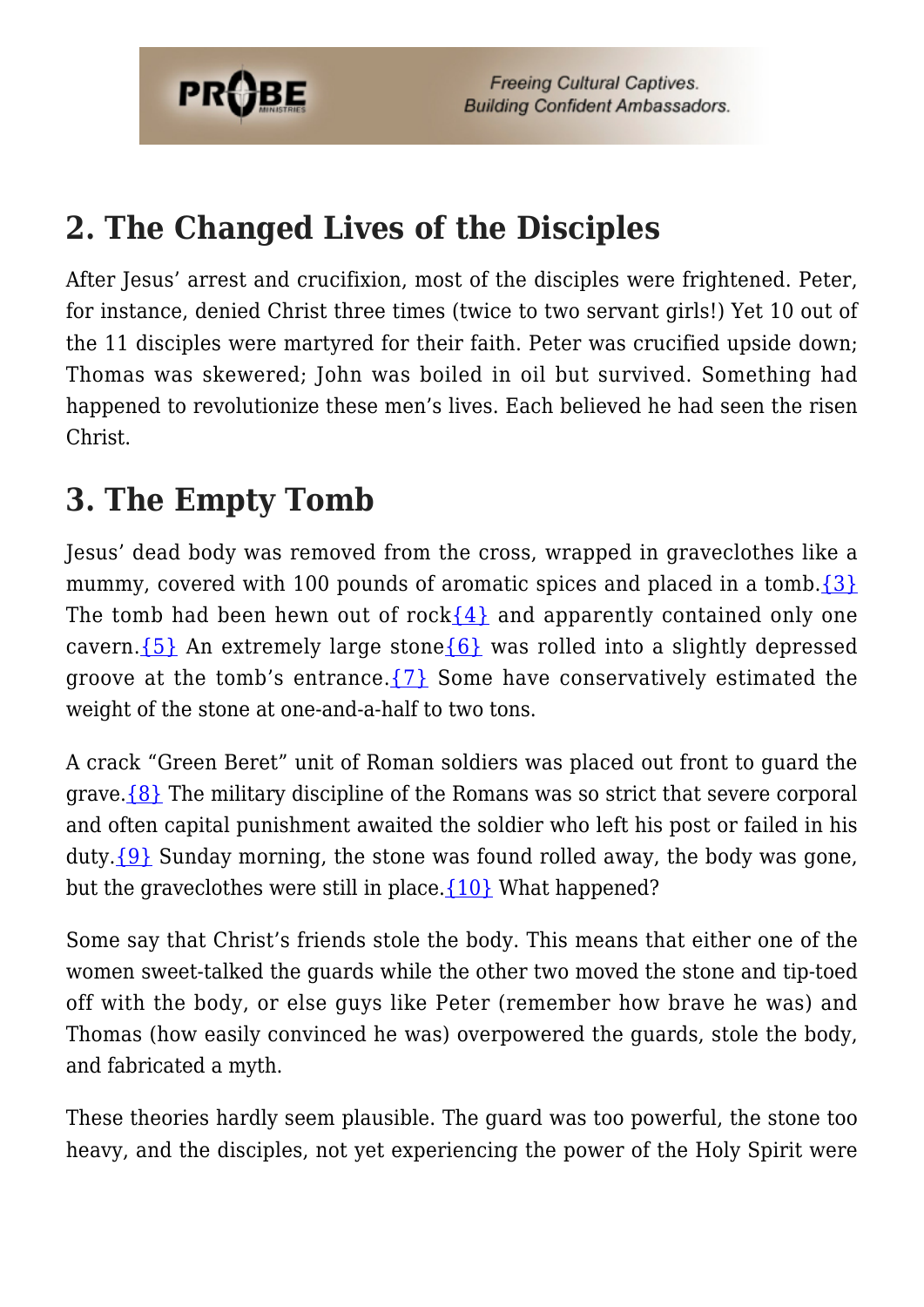

**Freeing Cultural Captives. Building Confident Ambassadors.** 

### **2. The Changed Lives of the Disciples**

After Jesus' arrest and crucifixion, most of the disciples were frightened. Peter, for instance, denied Christ three times (twice to two servant girls!) Yet 10 out of the 11 disciples were martyred for their faith. Peter was crucified upside down; Thomas was skewered; John was boiled in oil but survived. Something had happened to revolutionize these men's lives. Each believed he had seen the risen Christ.

### **3. The Empty Tomb**

Jesus' dead body was removed from the cross, wrapped in graveclothes like a mummy, covered with 100 pounds of aromatic spices and placed in a tomb.  $\{3\}$ The tomb had been hewn out of rock $\{4\}$  and apparently contained only one cavern.  $\{5\}$  An extremely large stone  $\{6\}$  was rolled into a slightly depressed groove at the tomb's entrance.  $\{7\}$  Some have conservatively estimated the weight of the stone at one-and-a-half to two tons.

A crack "Green Beret" unit of Roman soldiers was placed out front to guard the grave[.{8}](#page-4-0) The military discipline of the Romans was so strict that severe corporal and often capital punishment awaited the soldier who left his post or failed in his duty.  $\{9\}$  Sunday morning, the stone was found rolled away, the body was gone, but the graveclothes were still in place. ${10}$  What happened?

Some say that Christ's friends stole the body. This means that either one of the women sweet-talked the guards while the other two moved the stone and tip-toed off with the body, or else guys like Peter (remember how brave he was) and Thomas (how easily convinced he was) overpowered the guards, stole the body, and fabricated a myth.

These theories hardly seem plausible. The guard was too powerful, the stone too heavy, and the disciples, not yet experiencing the power of the Holy Spirit were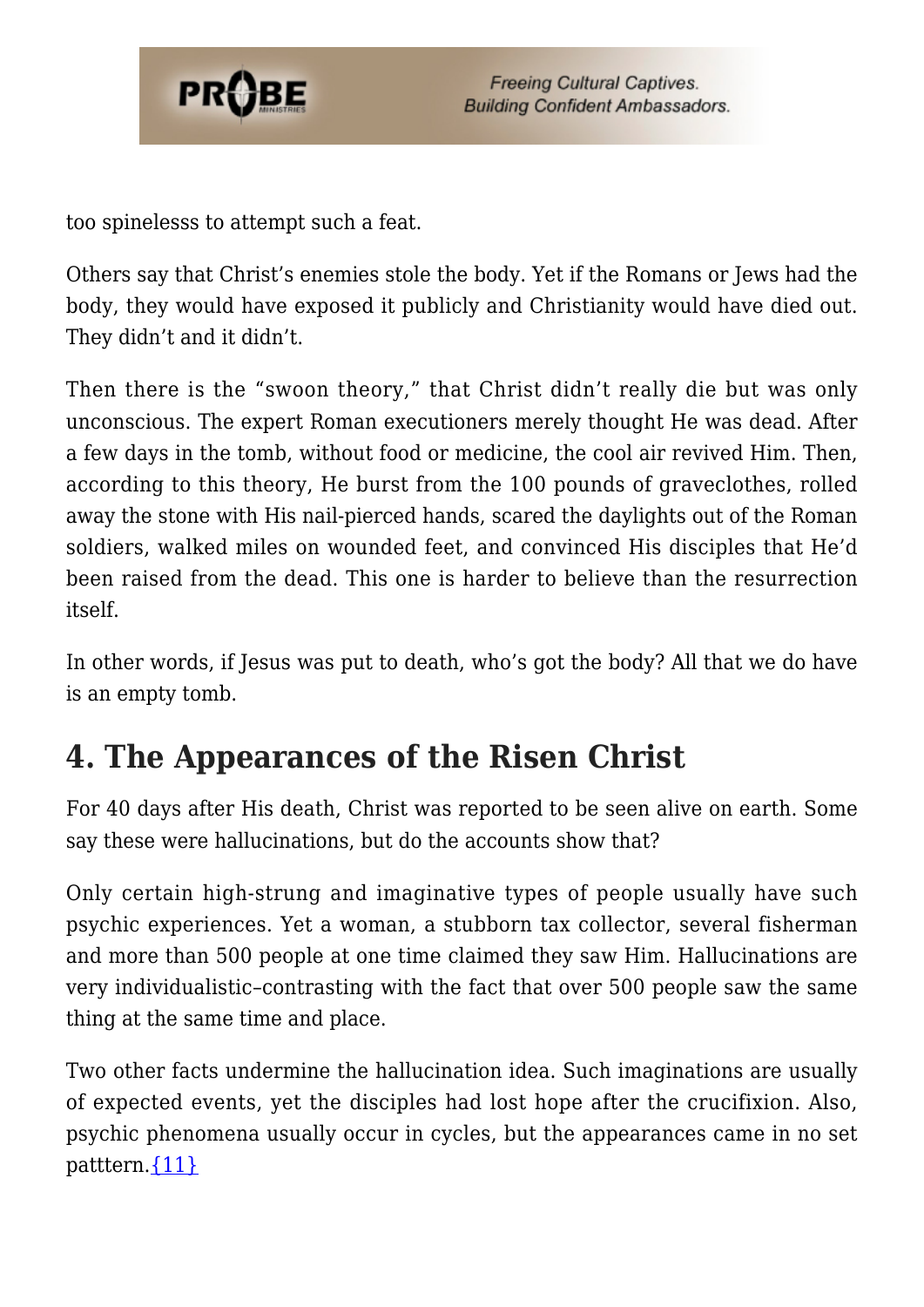

too spinelesss to attempt such a feat.

Others say that Christ's enemies stole the body. Yet if the Romans or Jews had the body, they would have exposed it publicly and Christianity would have died out. They didn't and it didn't.

Then there is the "swoon theory," that Christ didn't really die but was only unconscious. The expert Roman executioners merely thought He was dead. After a few days in the tomb, without food or medicine, the cool air revived Him. Then, according to this theory, He burst from the 100 pounds of graveclothes, rolled away the stone with His nail-pierced hands, scared the daylights out of the Roman soldiers, walked miles on wounded feet, and convinced His disciples that He'd been raised from the dead. This one is harder to believe than the resurrection itself.

In other words, if Jesus was put to death, who's got the body? All that we do have is an empty tomb.

### **4. The Appearances of the Risen Christ**

For 40 days after His death, Christ was reported to be seen alive on earth. Some say these were hallucinations, but do the accounts show that?

Only certain high-strung and imaginative types of people usually have such psychic experiences. Yet a woman, a stubborn tax collector, several fisherman and more than 500 people at one time claimed they saw Him. Hallucinations are very individualistic–contrasting with the fact that over 500 people saw the same thing at the same time and place.

Two other facts undermine the hallucination idea. Such imaginations are usually of expected events, yet the disciples had lost hope after the crucifixion. Also, psychic phenomena usually occur in cycles, but the appearances came in no set patttern. [{11}](#page-4-3)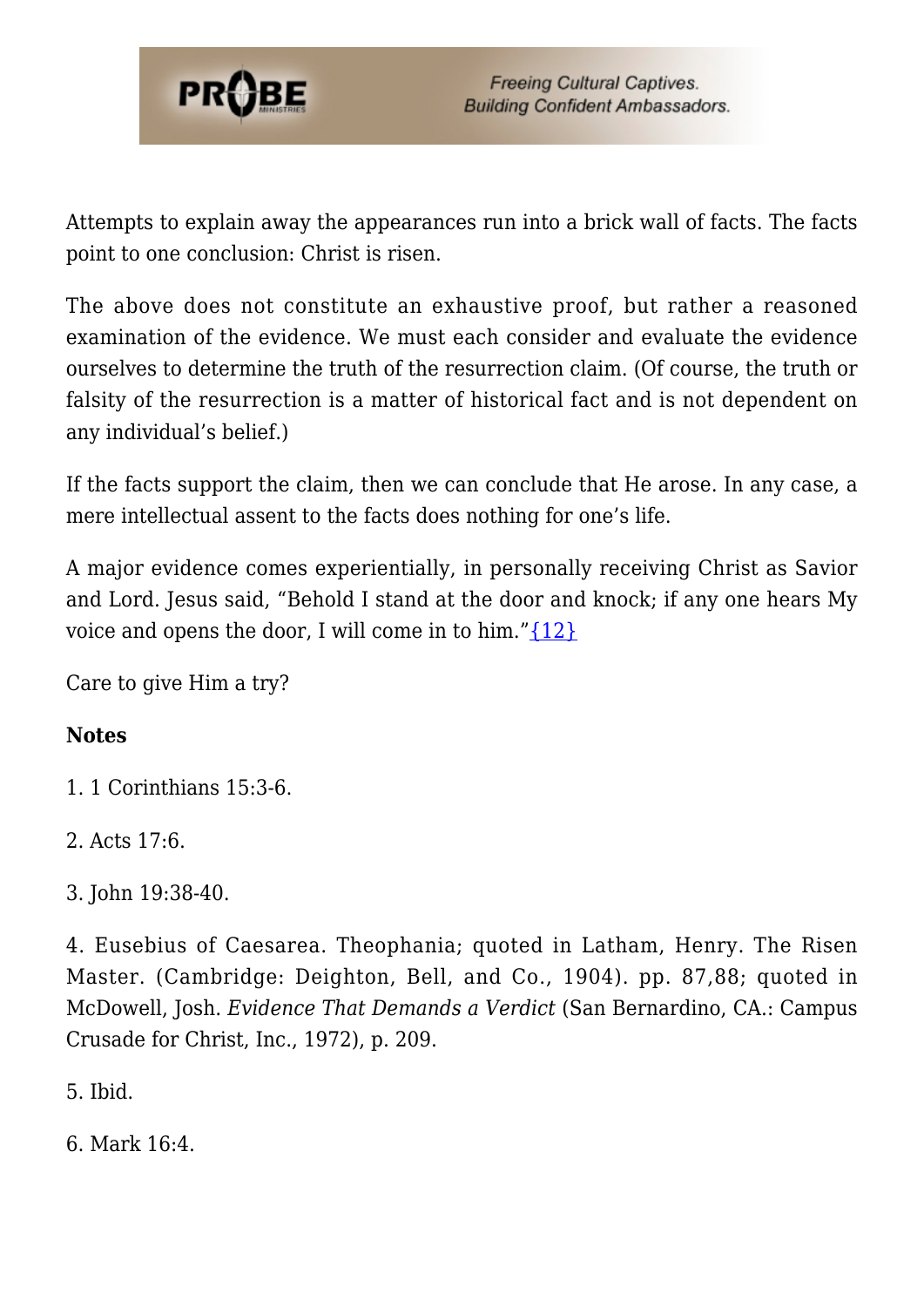

Attempts to explain away the appearances run into a brick wall of facts. The facts point to one conclusion: Christ is risen.

The above does not constitute an exhaustive proof, but rather a reasoned examination of the evidence. We must each consider and evaluate the evidence ourselves to determine the truth of the resurrection claim. (Of course, the truth or falsity of the resurrection is a matter of historical fact and is not dependent on any individual's belief.)

If the facts support the claim, then we can conclude that He arose. In any case, a mere intellectual assent to the facts does nothing for one's life.

A major evidence comes experientially, in personally receiving Christ as Savior and Lord. Jesus said, "Behold I stand at the door and knock; if any one hears My voice and opens the door, I will come in to him." $\{12\}$ 

Care to give Him a try?

#### **Notes**

<span id="page-3-0"></span>1. 1 Corinthians 15:3-6.

<span id="page-3-1"></span>2. Acts 17:6.

<span id="page-3-2"></span>3. John 19:38-40.

<span id="page-3-3"></span>4. Eusebius of Caesarea. Theophania; quoted in Latham, Henry. The Risen Master. (Cambridge: Deighton, Bell, and Co., 1904). pp. 87,88; quoted in McDowell, Josh. *Evidence That Demands a Verdict* (San Bernardino, CA.: Campus Crusade for Christ, Inc., 1972), p. 209.

<span id="page-3-4"></span>5. Ibid.

<span id="page-3-6"></span><span id="page-3-5"></span>6. Mark 16:4.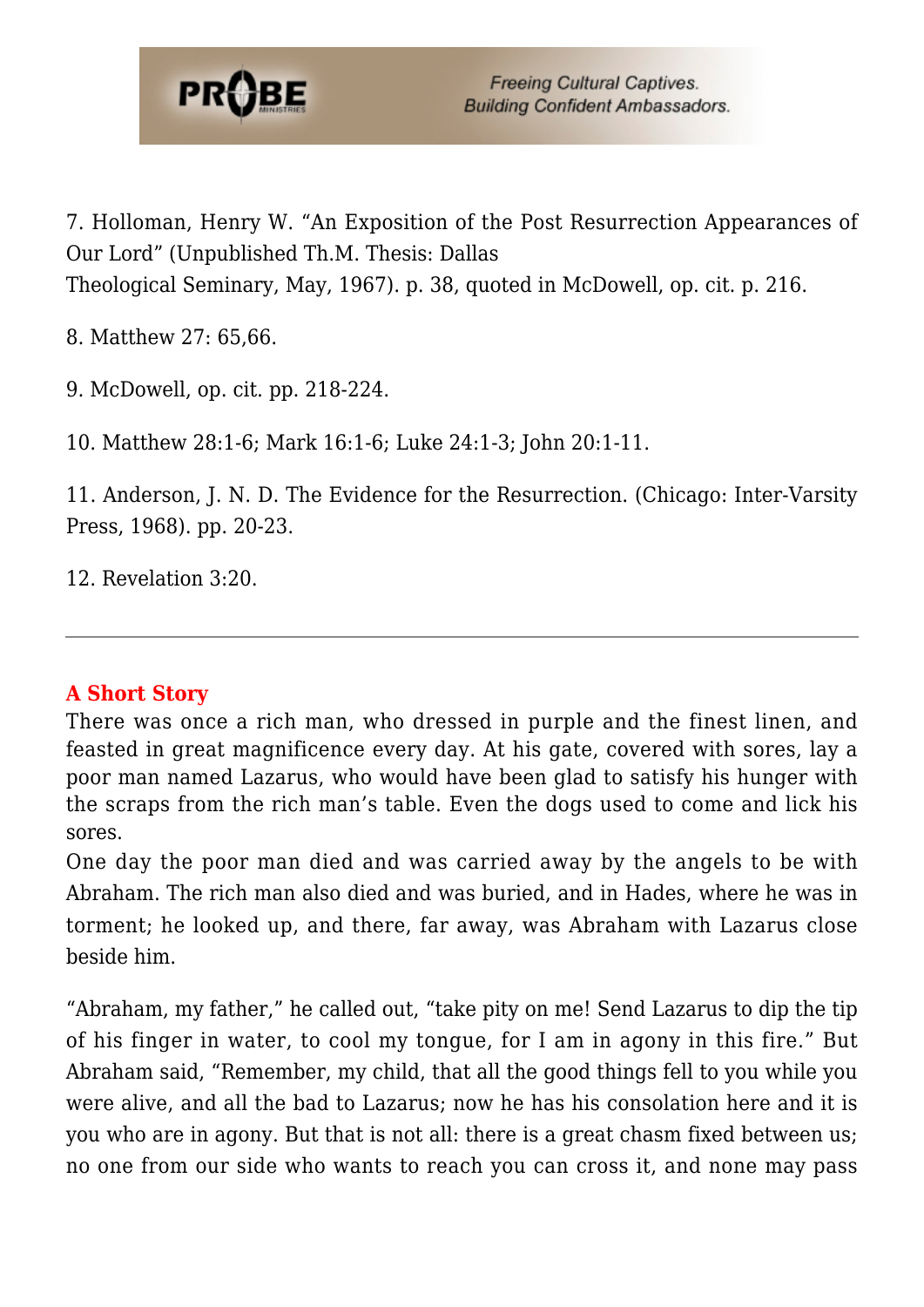

7. Holloman, Henry W. "An Exposition of the Post Resurrection Appearances of Our Lord" (Unpublished Th.M. Thesis: Dallas Theological Seminary, May, 1967). p. 38, quoted in McDowell, op. cit. p. 216.

<span id="page-4-0"></span>8. Matthew 27: 65,66.

<span id="page-4-1"></span>9. McDowell, op. cit. pp. 218-224.

<span id="page-4-2"></span>10. Matthew 28:1-6; Mark 16:1-6; Luke 24:1-3; John 20:1-11.

<span id="page-4-3"></span>11. Anderson, J. N. D. The Evidence for the Resurrection. (Chicago: Inter-Varsity Press, 1968). pp. 20-23.

<span id="page-4-4"></span>12. Revelation 3:20.

#### **A Short Story**

There was once a rich man, who dressed in purple and the finest linen, and feasted in great magnificence every day. At his gate, covered with sores, lay a poor man named Lazarus, who would have been glad to satisfy his hunger with the scraps from the rich man's table. Even the dogs used to come and lick his sores.

One day the poor man died and was carried away by the angels to be with Abraham. The rich man also died and was buried, and in Hades, where he was in torment; he looked up, and there, far away, was Abraham with Lazarus close beside him.

"Abraham, my father," he called out, "take pity on me! Send Lazarus to dip the tip of his finger in water, to cool my tongue, for I am in agony in this fire." But Abraham said, "Remember, my child, that all the good things fell to you while you were alive, and all the bad to Lazarus; now he has his consolation here and it is you who are in agony. But that is not all: there is a great chasm fixed between us; no one from our side who wants to reach you can cross it, and none may pass